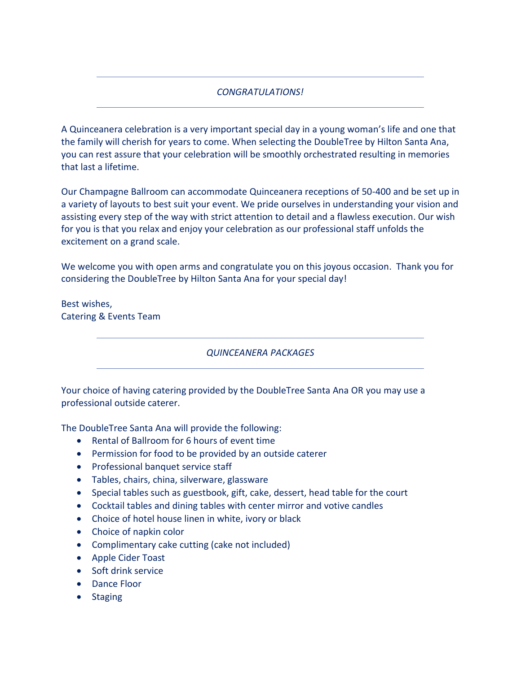# *CONGRATULATIONS!*

A Quinceanera celebration is a very important special day in a young woman's life and one that the family will cherish for years to come. When selecting the DoubleTree by Hilton Santa Ana, you can rest assure that your celebration will be smoothly orchestrated resulting in memories that last a lifetime.

Our Champagne Ballroom can accommodate Quinceanera receptions of 50-400 and be set up in a variety of layouts to best suit your event. We pride ourselves in understanding your vision and assisting every step of the way with strict attention to detail and a flawless execution. Our wish for you is that you relax and enjoy your celebration as our professional staff unfolds the excitement on a grand scale.

We welcome you with open arms and congratulate you on this joyous occasion. Thank you for considering the DoubleTree by Hilton Santa Ana for your special day!

Best wishes, Catering & Events Team

*QUINCEANERA PACKAGES*

Your choice of having catering provided by the DoubleTree Santa Ana OR you may use a professional outside caterer.

The DoubleTree Santa Ana will provide the following:

- Rental of Ballroom for 6 hours of event time
- Permission for food to be provided by an outside caterer
- Professional banquet service staff
- Tables, chairs, china, silverware, glassware
- Special tables such as guestbook, gift, cake, dessert, head table for the court
- Cocktail tables and dining tables with center mirror and votive candles
- Choice of hotel house linen in white, ivory or black
- Choice of napkin color
- Complimentary cake cutting (cake not included)
- Apple Cider Toast
- Soft drink service
- Dance Floor
- Staging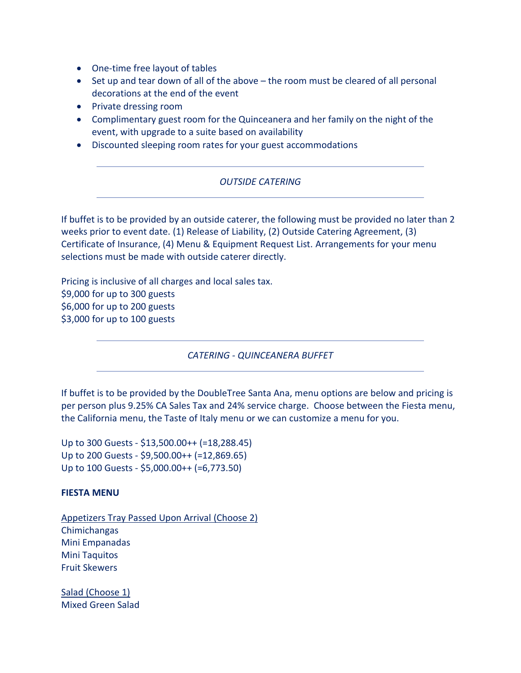- One-time free layout of tables
- Set up and tear down of all of the above the room must be cleared of all personal decorations at the end of the event
- Private dressing room
- Complimentary guest room for the Quinceanera and her family on the night of the event, with upgrade to a suite based on availability
- Discounted sleeping room rates for your guest accommodations

# *OUTSIDE CATERING*

If buffet is to be provided by an outside caterer, the following must be provided no later than 2 weeks prior to event date. (1) Release of Liability, (2) Outside Catering Agreement, (3) Certificate of Insurance, (4) Menu & Equipment Request List. Arrangements for your menu selections must be made with outside caterer directly.

Pricing is inclusive of all charges and local sales tax. \$9,000 for up to 300 guests \$6,000 for up to 200 guests \$3,000 for up to 100 guests

*CATERING - QUINCEANERA BUFFET*

If buffet is to be provided by the DoubleTree Santa Ana, menu options are below and pricing is per person plus 9.25% CA Sales Tax and 24% service charge. Choose between the Fiesta menu, the California menu, the Taste of Italy menu or we can customize a menu for you.

Up to 300 Guests - \$13,500.00++ (=18,288.45) Up to 200 Guests - \$9,500.00++ (=12,869.65) Up to 100 Guests - \$5,000.00++ (=6,773.50)

# **FIESTA MENU**

Appetizers Tray Passed Upon Arrival (Choose 2) Chimichangas Mini Empanadas Mini Taquitos Fruit Skewers

Salad (Choose 1) Mixed Green Salad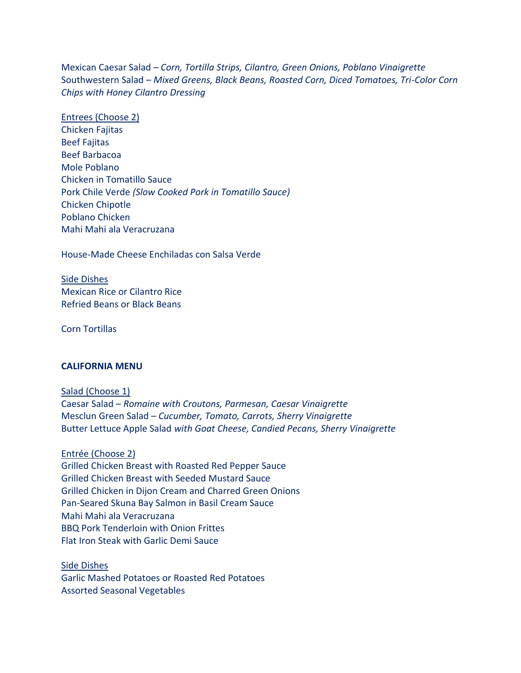Mexican Caesar Salad *– Corn, Tortilla Strips, Cilantro, Green Onions, Poblano Vinaigrette* Southwestern Salad – *Mixed Greens, Black Beans, Roasted Corn, Diced Tomatoes, Tri-Color Corn Chips with Honey Cilantro Dressing*

Entrees (Choose 2)

Chicken Fajitas Beef Fajitas Beef Barbacoa Mole Poblano Chicken in Tomatillo Sauce Pork Chile Verde *(Slow Cooked Pork in Tomatillo Sauce)* Chicken Chipotle Poblano Chicken Mahi Mahi ala Veracruzana

House-Made Cheese Enchiladas con Salsa Verde

Side Dishes Mexican Rice or Cilantro Rice Refried Beans or Black Beans

Corn Tortillas

#### **CALIFORNIA MENU**

Salad (Choose 1) Caesar Salad – *Romaine with Croutons, Parmesan, Caesar Vinaigrette* Mesclun Green Salad – *Cucumber, Tomato, Carrots, Sherry Vinaigrette* Butter Lettuce Apple Salad *with Goat Cheese, Candied Pecans, Sherry Vinaigrette*

Entrée (Choose 2)

Grilled Chicken Breast with Roasted Red Pepper Sauce Grilled Chicken Breast with Seeded Mustard Sauce Grilled Chicken in Dijon Cream and Charred Green Onions Pan-Seared Skuna Bay Salmon in Basil Cream Sauce Mahi Mahi ala Veracruzana BBQ Pork Tenderloin with Onion Frittes Flat Iron Steak with Garlic Demi Sauce

Side Dishes Garlic Mashed Potatoes or Roasted Red Potatoes Assorted Seasonal Vegetables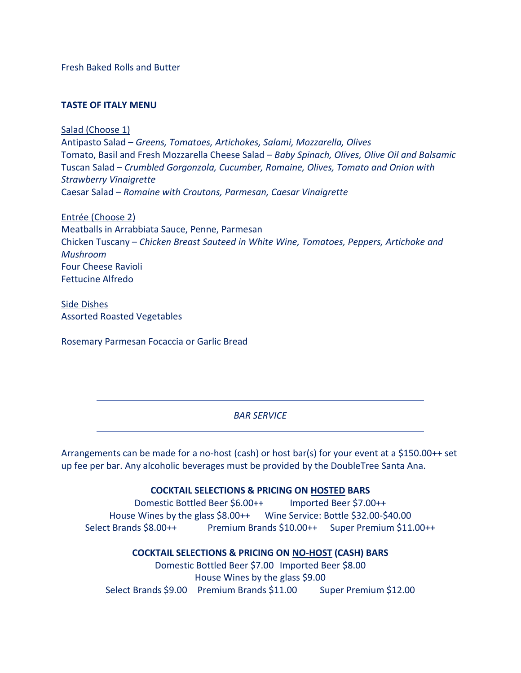Fresh Baked Rolls and Butter

# **TASTE OF ITALY MENU**

Salad (Choose 1) Antipasto Salad – *Greens, Tomatoes, Artichokes, Salami, Mozzarella, Olives* Tomato, Basil and Fresh Mozzarella Cheese Salad – *Baby Spinach, Olives, Olive Oil and Balsamic* Tuscan Salad – *Crumbled Gorgonzola, Cucumber, Romaine, Olives, Tomato and Onion with Strawberry Vinaigrette* Caesar Salad – *Romaine with Croutons, Parmesan, Caesar Vinaigrette*

Entrée (Choose 2) Meatballs in Arrabbiata Sauce, Penne, Parmesan Chicken Tuscany – *Chicken Breast Sauteed in White Wine, Tomatoes, Peppers, Artichoke and Mushroom* Four Cheese Ravioli Fettucine Alfredo

Side Dishes Assorted Roasted Vegetables

Rosemary Parmesan Focaccia or Garlic Bread

## *BAR SERVICE*

Arrangements can be made for a no-host (cash) or host bar(s) for your event at a \$150.00++ set up fee per bar. Any alcoholic beverages must be provided by the DoubleTree Santa Ana.

## **COCKTAIL SELECTIONS & PRICING ON HOSTED BARS**

Domestic Bottled Beer \$6.00++ Imported Beer \$7.00++ House Wines by the glass \$8.00++ Wine Service: Bottle \$32.00-\$40.00 Select Brands \$8.00++ Premium Brands \$10.00++ Super Premium \$11.00++

## **COCKTAIL SELECTIONS & PRICING ON NO-HOST (CASH) BARS**

Domestic Bottled Beer \$7.00 Imported Beer \$8.00 House Wines by the glass \$9.00 Select Brands \$9.00 Premium Brands \$11.00 Super Premium \$12.00